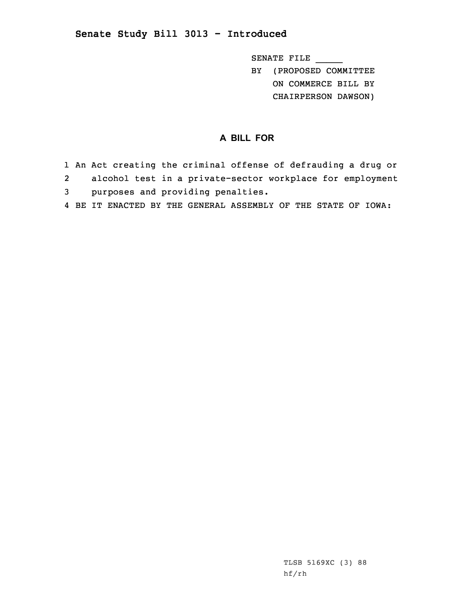## **Senate Study Bill 3013 - Introduced**

SENATE FILE \_\_\_\_\_

BY (PROPOSED COMMITTEE ON COMMERCE BILL BY

CHAIRPERSON DAWSON)

## **A BILL FOR**

- 1 An Act creating the criminal offense of defrauding <sup>a</sup> drug or 2 alcohol test in <sup>a</sup> private-sector workplace for employment 3 purposes and providing penalties.
- 4 BE IT ENACTED BY THE GENERAL ASSEMBLY OF THE STATE OF IOWA: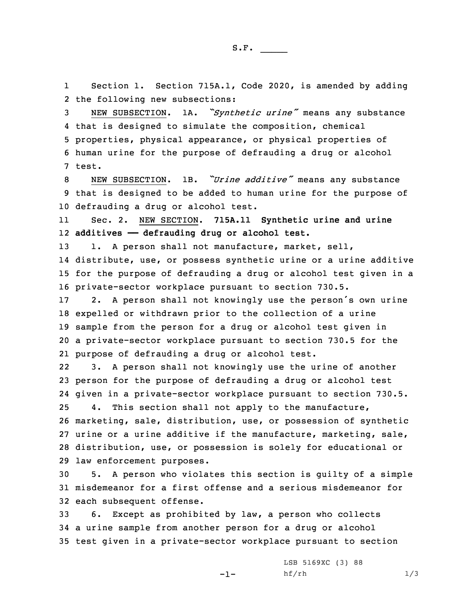1 Section 1. Section 715A.1, Code 2020, is amended by adding 2 the following new subsections:

 NEW SUBSECTION. 1A. *"Synthetic urine"* means any substance that is designed to simulate the composition, chemical properties, physical appearance, or physical properties of human urine for the purpose of defrauding <sup>a</sup> drug or alcohol 7 test.

<sup>8</sup> NEW SUBSECTION. 1B. *"Urine additive"* means any substance 9 that is designed to be added to human urine for the purpose of 10 defrauding <sup>a</sup> drug or alcohol test.

11 Sec. 2. NEW SECTION. **715A.11 Synthetic urine and urine** 12 **additives —— defrauding drug or alcohol test.**

13 1. A person shall not manufacture, market, sell, distribute, use, or possess synthetic urine or <sup>a</sup> urine additive for the purpose of defrauding <sup>a</sup> drug or alcohol test given in <sup>a</sup> private-sector workplace pursuant to section 730.5.

 2. <sup>A</sup> person shall not knowingly use the person's own urine expelled or withdrawn prior to the collection of <sup>a</sup> urine sample from the person for <sup>a</sup> drug or alcohol test given in <sup>a</sup> private-sector workplace pursuant to section 730.5 for the purpose of defrauding <sup>a</sup> drug or alcohol test.

22 3. <sup>A</sup> person shall not knowingly use the urine of another person for the purpose of defrauding <sup>a</sup> drug or alcohol test given in <sup>a</sup> private-sector workplace pursuant to section 730.5. 4. This section shall not apply to the manufacture, marketing, sale, distribution, use, or possession of synthetic urine or <sup>a</sup> urine additive if the manufacture, marketing, sale, distribution, use, or possession is solely for educational or law enforcement purposes.

30 5. <sup>A</sup> person who violates this section is guilty of <sup>a</sup> simple 31 misdemeanor for <sup>a</sup> first offense and <sup>a</sup> serious misdemeanor for 32 each subsequent offense.

33 6. Except as prohibited by law, <sup>a</sup> person who collects 34 <sup>a</sup> urine sample from another person for <sup>a</sup> drug or alcohol 35 test given in <sup>a</sup> private-sector workplace pursuant to section

 $-1-$ 

LSB 5169XC (3) 88 hf/rh 1/3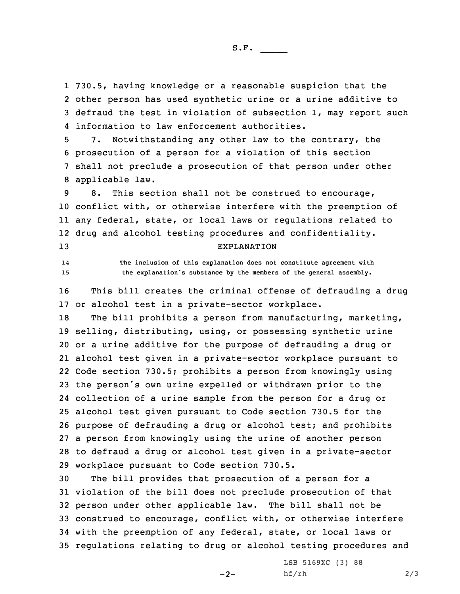730.5, having knowledge or <sup>a</sup> reasonable suspicion that the other person has used synthetic urine or <sup>a</sup> urine additive to defraud the test in violation of subsection 1, may report such information to law enforcement authorities.

 7. Notwithstanding any other law to the contrary, the prosecution of <sup>a</sup> person for <sup>a</sup> violation of this section shall not preclude <sup>a</sup> prosecution of that person under other applicable law.

 8. This section shall not be construed to encourage, conflict with, or otherwise interfere with the preemption of any federal, state, or local laws or regulations related to drug and alcohol testing procedures and confidentiality. EXPLANATION

14 **The inclusion of this explanation does not constitute agreement with** <sup>15</sup> **the explanation's substance by the members of the general assembly.**

16 This bill creates the criminal offense of defrauding <sup>a</sup> drug 17 or alcohol test in <sup>a</sup> private-sector workplace.

 The bill prohibits <sup>a</sup> person from manufacturing, marketing, selling, distributing, using, or possessing synthetic urine or <sup>a</sup> urine additive for the purpose of defrauding <sup>a</sup> drug or alcohol test given in <sup>a</sup> private-sector workplace pursuant to Code section 730.5; prohibits <sup>a</sup> person from knowingly using the person's own urine expelled or withdrawn prior to the collection of <sup>a</sup> urine sample from the person for <sup>a</sup> drug or alcohol test given pursuant to Code section 730.5 for the purpose of defrauding <sup>a</sup> drug or alcohol test; and prohibits <sup>a</sup> person from knowingly using the urine of another person to defraud <sup>a</sup> drug or alcohol test given in <sup>a</sup> private-sector workplace pursuant to Code section 730.5.

 The bill provides that prosecution of <sup>a</sup> person for <sup>a</sup> violation of the bill does not preclude prosecution of that person under other applicable law. The bill shall not be construed to encourage, conflict with, or otherwise interfere with the preemption of any federal, state, or local laws or regulations relating to drug or alcohol testing procedures and

 $-2-$ 

LSB 5169XC (3) 88  $h f / rh$  2/3